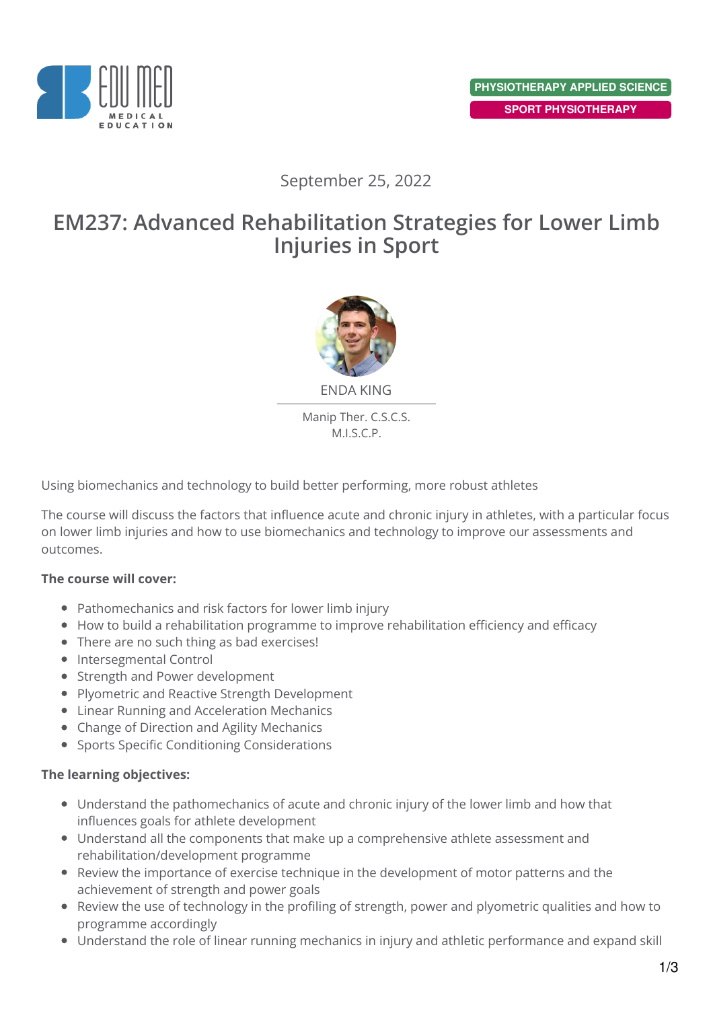

## September 25, 2022

# **EM237: Advanced Rehabilitation Strategies for Lower Limb Injuries in Sport**



Manip Ther. C.S.C.S.

M.I.S.C.P.

Using biomechanics and technology to build better performing, more robust athletes

The course will discuss the factors that influence acute and chronic injury in athletes, with a particular focus on lower limb injuries and how to use biomechanics and technology to improve our assessments and outcomes.

#### **The course will cover:**

- Pathomechanics and risk factors for lower limb injury
- How to build a rehabilitation programme to improve rehabilitation efficiency and efficacy
- There are no such thing as bad exercises!
- Intersegmental Control
- Strength and Power development
- Plyometric and Reactive Strength Development
- Linear Running and Acceleration Mechanics
- Change of Direction and Agility Mechanics
- Sports Specific Conditioning Considerations

### **The learning objectives:**

- Understand the pathomechanics of acute and chronic injury of the lower limb and how that influences goals for athlete development
- Understand all the components that make up a comprehensive athlete assessment and rehabilitation/development programme
- Review the importance of exercise technique in the development of motor patterns and the achievement of strength and power goals
- Review the use of technology in the profiling of strength, power and plyometric qualities and how to programme accordingly
- Understand the role of linear running mechanics in injury and athletic performance and expand skill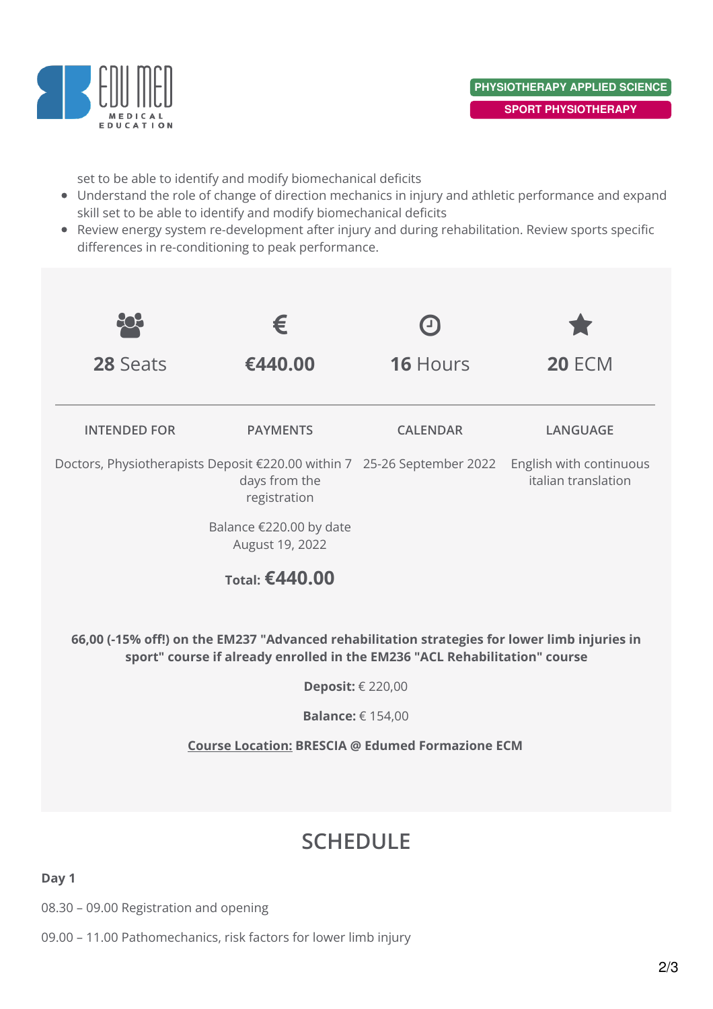

set to be able to identify and modify biomechanical deficits

- Understand the role of change of direction mechanics in injury and athletic performance and expand skill set to be able to identify and modify biomechanical deficits
- Review energy system re-development after injury and during rehabilitation. Review sports specific differences in re-conditioning to peak performance.



08.30 – 09.00 Registration and opening

09.00 – 11.00 Pathomechanics, risk factors for lower limb injury